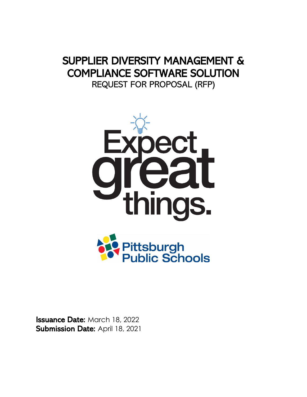# SUPPLIER DIVERSITY MANAGEMENT & COMPLIANCE SOFTWARE SOLUTION REQUEST FOR PROPOSAL (RFP)



**Issuance Date: March 18, 2022** Submission Date: April 18, 2021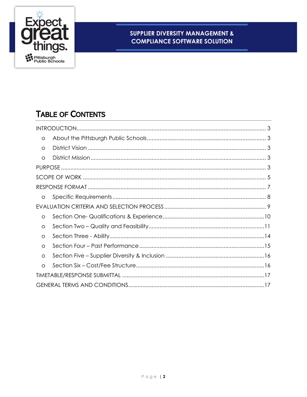

# **TABLE OF CONTENTS**

| $\circ$ |  |
|---------|--|
| $\circ$ |  |
| $\circ$ |  |
|         |  |
|         |  |
|         |  |
| O       |  |
|         |  |
| $\circ$ |  |
| $\circ$ |  |
| O       |  |
| O       |  |
| O       |  |
| $\circ$ |  |
|         |  |
|         |  |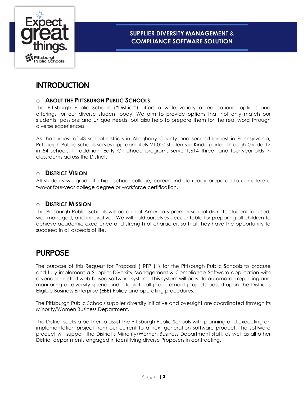

# <span id="page-2-0"></span>**INTRODUCTION**

### <span id="page-2-1"></span>o **ABOUT THE PITTSBURGH PUBLIC SCHOOLS**

The Pittsburgh Public Schools ("District") offers a wide variety of educational options and offerings for our diverse student body. We aim to provide options that not only match our students' passions and unique needs, but also help to prepare them for the real word through diverse experiences.

As the largest of 43 school districts in Allegheny County and second largest in Pennsylvania, Pittsburgh Public Schools serves approximately 21,000 students in Kindergarten through Grade 12 in 54 schools. In addition, Early Childhood programs serve 1,614 three- and four-year-olds in classrooms across the District.

#### <span id="page-2-2"></span>o **DISTRICT VISION**

All students will graduate high school college, career and life-ready prepared to complete a two-or four-year college degree or workforce certification.

#### <span id="page-2-3"></span>o **DISTRICT MISSION**

The Pittsburgh Public Schools will be one of America's premier school districts, student-focused, well-managed, and innovative. We will hold ourselves accountable for preparing all children to achieve academic excellence and strength of character, so that they have the opportunity to succeed in all aspects of life.

### <span id="page-2-4"></span>PURPOSE

The purpose of this Request for Proposal ("RFP") is for the Pittsburgh Public Schools to procure and fully implement a Supplier Diversity Management & Compliance Software application with a vendor- hosted web-based software system. This system will provide automated reporting and monitoring of diversity spend and integrate all procurement projects based upon the District's Eligible Business Enterprise (EBE) Policy and operating procedures.

The Pittsburgh Public Schools supplier diversity initiative and oversight are coordinated through its Minority/Women Business Department.

The District seeks a partner to assist the Pittsburgh Public Schools with planning and executing an implementation project from our current to a next generation software product. The software product will support the District's Minority/Women Business Department staff, as well as all other District departments engaged in identifying diverse Proposers in contracting.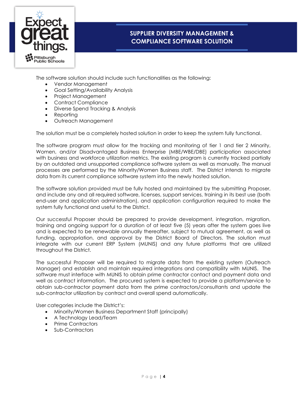

The software solution should include such functionalities as the following:

- Vendor Management
- Goal Setting/Availability Analysis
- Project Management
- Contract Compliance
- Diverse Spend Tracking & Analysis
- Reporting
- Outreach Management

The solution must be a completely hosted solution in order to keep the system fully functional.

The software program must allow for the tracking and monitoring of tier 1 and tier 2 Minority, Women, and/or Disadvantaged Business Enterprise (MBE/WBE/DBE) participation associated with business and workforce utilization metrics. The existing program is currently tracked partially by an outdated and unsupported compliance software system as well as manually. The manual processes are performed by the Minority/Women Business staff. The District intends to migrate data from its current compliance software system into the newly hosted solution.

The software solution provided must be fully hosted and maintained by the submitting Proposer, and include any and all required software, licenses, support services, training in its best use (both end-user and application administration), and application configuration required to make the system fully functional and useful to the District.

Our successful Proposer should be prepared to provide development, integration, migration, training and ongoing support for a duration of at least five (5) years after the system goes live and is expected to be renewable annually thereafter, subject to mutual agreement, as well as funding, appropriation, and approval by the District Board of Directors. The solution must integrate with our current ERP System (MUNIS) and any future platforms that are utilized throughout the District.

The successful Proposer will be required to migrate data from the existing system (Outreach Manager) and establish and maintain required integrations and compatibility with MUNIS. The software must interface with MUNIS to obtain prime contractor contact and payment data and well as contract information. The procured system is expected to provide a platform/service to obtain sub-contractor payment data from the prime contractors/consultants and update the sub-contractor utilization by contract and overall spend automatically.

User categories include the District's:

- Minority/Women Business Department Staff (principally)
- A Technology Lead/Team
- Prime Contractors
- Sub-Contractors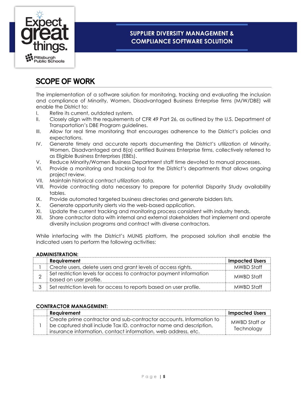

# <span id="page-4-0"></span>SCOPE OF WORK

The implementation of a software solution for monitoring, tracking and evaluating the inclusion and compliance of Minority, Women, Disadvantaged Business Enterprise firms (M/W/DBE) will enable the District to:

- I. Retire its current, outdated system.
- II. Closely align with the requirements of CFR 49 Part 26, as outlined by the U.S. Department of Transportation's DBE Program guidelines.
- III. Allow for real time monitoring that encourages adherence to the District's policies and expectations.
- IV. Generate timely and accurate reports documenting the District's utilization of Minority, Women, Disadvantaged and 8(a) certified Business Enterprise firms, collectively referred to as Eligible Business Enterprises (EBEs).
- V. Reduce Minority/Women Business Department staff time devoted to manual processes.
- VI. Provide a monitoring and tracking tool for the District's departments that allows ongoing project review.
- VII. Maintain historical contract utilization data.
- VIII. Provide contracting data necessary to prepare for potential Disparity Study availability tables.
- IX. Provide automated targeted business directories and generate bidders lists.
- X. Generate opportunity alerts via the web-based application.
- XI. Update the current tracking and monitoring process consistent with industry trends.
- XII. Share contractor data with internal and external stakeholders that implement and operate diversity inclusion programs and contract with diverse contractors.

While interfacing with the District's MUNIS platform, the proposed solution shall enable the indicated users to perform the following activities:

#### **ADMINISTRATION:**

| Requirement                                                                                   | <b>Impacted Users</b> |
|-----------------------------------------------------------------------------------------------|-----------------------|
| Create users, delete users and grant levels of access rights.                                 | <b>MWBD Staff</b>     |
| Set restriction levels for access to contractor payment information<br>based on user profile. | MWBD Staff            |
| Set restriction levels for access to reports based on user profile.                           | MWBD Staff            |

#### **CONTRACTOR MANAGEMENT:**

| Requirement                                                                                                                                                                                                  | <b>Impacted Users</b>       |
|--------------------------------------------------------------------------------------------------------------------------------------------------------------------------------------------------------------|-----------------------------|
| Create prime contractor and sub-contractor accounts. Information to<br>I be captured shall include Tax ID, contractor name and description,<br>insurance information, contact information, web address, etc. | MWBD Staff or<br>Technology |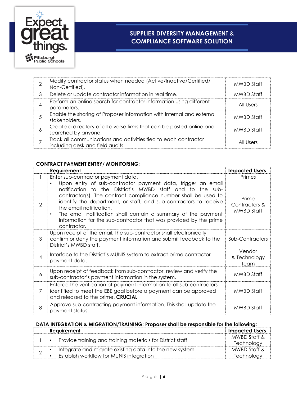

| ⌒ | Modify contractor status when needed (Active/Inactive/Certified/<br>Non-Certified).                 | MWBD Staff |
|---|-----------------------------------------------------------------------------------------------------|------------|
| 3 | Delete or update contractor information in real time.                                               | MWBD Staff |
|   | Perform an online search for contractor information using different<br>parameters.                  | All Users  |
|   | Enable the sharing of Proposer information with internal and external<br>stakeholders.              | MWBD Staff |
| 6 | Create a directory of all diverse firms that can be posted online and<br>searched by anyone.        | MWBD Staff |
|   | Track all communications and activities tied to each contractor<br>including desk and field audits. | All Users  |

#### **CONTRACT PAYMENT ENTRY/ MONITORING:**

|                          | Requirement                                                                                                                                                                                                                                                                                                                                                                                                                                                               | <b>Impacted Users</b>                |
|--------------------------|---------------------------------------------------------------------------------------------------------------------------------------------------------------------------------------------------------------------------------------------------------------------------------------------------------------------------------------------------------------------------------------------------------------------------------------------------------------------------|--------------------------------------|
|                          | Enter sub-contractor payment data.                                                                                                                                                                                                                                                                                                                                                                                                                                        | Primes                               |
| $\overline{2}$           | Upon entry of sub-contractor payment data, trigger an email<br>$\bullet$<br>notification to the District's MWBD staff and to the sub-<br>contractor(s). The contract compliance number shall be used to<br>identify the department, or staff, and sub-contractors to receive<br>the email notification.<br>The email notification shall contain a summary of the payment<br>$\bullet$<br>information for the sub-contractor that was provided by the prime<br>contractor. | Prime<br>Contractors &<br>MWBD Staff |
| 3                        | Upon receipt of the email, the sub-contractor shall electronically<br>confirm or deny the payment information and submit feedback to the<br>District's MWBD staff.                                                                                                                                                                                                                                                                                                        | Sub-Contractors                      |
| $\overline{\mathcal{A}}$ | Interface to the District's MUNIS system to extract prime contractor<br>payment data.                                                                                                                                                                                                                                                                                                                                                                                     | Vendor<br>& Technology<br>Team       |
| 6                        | Upon receipt of feedback from sub-contractor, review and verify the<br>sub-contractor's payment information in the system.                                                                                                                                                                                                                                                                                                                                                | MWBD Staff                           |
| 7                        | Enforce the verification of payment information to all sub-contractors<br>identified to meet the EBE goal before a payment can be approved<br>and released to the prime. CRUCIAL                                                                                                                                                                                                                                                                                          | MWBD Staff                           |
| 8                        | Approve sub-contracting payment information. This shall update the<br>payment status.                                                                                                                                                                                                                                                                                                                                                                                     | MWBD Staff                           |

### **DATA INTEGRATION & MIGRATION/TRAINING: Proposer shall be responsible for the following:**

|  | Requirement                                                | <b>Impacted Users</b> |
|--|------------------------------------------------------------|-----------------------|
|  | Provide training and training materials for District staff | MWBD Staff &          |
|  |                                                            | Technology            |
|  | Integrate and migrate existing data into the new system    | MWBD Staff &          |
|  | Establish workflow for MUNIS integration                   | Technology            |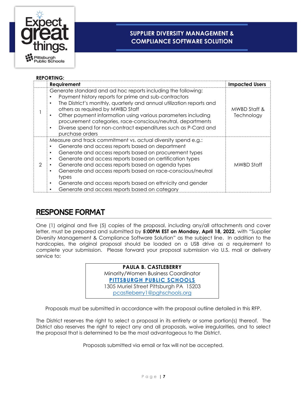

**REPORTING:**

### **SUPPLIER DIVERSITY MANAGEMENT & COMPLIANCE SOFTWARE SOLUTION**

|               | KEPURIING:                                                                                                                                                                                                                                                                                                                                                                                                                                                                                                            |                            |
|---------------|-----------------------------------------------------------------------------------------------------------------------------------------------------------------------------------------------------------------------------------------------------------------------------------------------------------------------------------------------------------------------------------------------------------------------------------------------------------------------------------------------------------------------|----------------------------|
|               | Requirement                                                                                                                                                                                                                                                                                                                                                                                                                                                                                                           | <b>Impacted Users</b>      |
|               | Generate standard and ad hoc reports including the following:<br>Payment history reports for prime and sub-contractors<br>The District's monthly, quarterly and annual utilization reports and<br>$\bullet$<br>others as required by MWBD Staff<br>Other payment information using various parameters including<br>٠<br>procurement categories, race-conscious/neutral, departments<br>Diverse spend for non-contract expenditures such as P-Card and<br>$\bullet$<br>purchase orders                                 | MWBD Staff &<br>Technology |
| $\mathcal{P}$ | Measure and track commitment vs. actual diversity spend e.g.:<br>Generate and access reports based on department<br>Generate and access reports based on procurement types<br>$\bullet$<br>Generate and access reports based on certification types<br>$\bullet$<br>Generate and access reports based on agenda types<br>Generate and access reports based on race-conscious/neutral<br>٠<br>types<br>Generate and access reports based on ethnicity and gender<br>٠<br>Generate and access reports based on category | MWBD Staff                 |

# <span id="page-6-0"></span>RESPONSE FORMAT

One (1) original and five (5) copies of the proposal, including any/all attachments and cover letter, must be prepared and submitted by **5:00PM EST on Monday, April 18, 2022**, with "Supplier Diversity Management & Compliance Software Solution" as the subject line. In addition to the hardcopies, the original proposal should be loaded on a USB drive as a requirement to complete your submission. Please forward your proposal submission via U.S. mail or delivery service to:

> **PAULA B. CASTLEBERRY** Minority/Women Business Coordinator **[PITTSBURGH PUBLIC SCHOOLS](http://pps.k12.pa.us/)** 1305 Muriel Street Pittsburgh PA 15203 [pcastleberry1@pghschools.org](mailto:pcastleberry1@pghschools.org)

Proposals must be submitted in accordance with the proposal outline detailed in this RFP.

The District reserves the right to select a proposal in its entirety or some portion(s) thereof. The District also reserves the right to reject any and all proposals, waive irregularities, and to select the proposal that is determined to be the most advantageous to the District.

Proposals submitted via email or fax will not be accepted.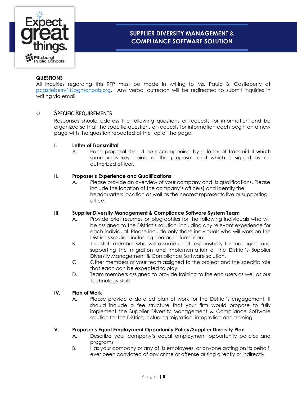

#### **QUESTIONS**

All inquiries regarding this RFP must be made in writing to Ms. Paula B. Castleberry at [pcastleberry1@pghschools.org.](mailto:pcastleberry1@pghschools.org) Any verbal outreach will be redirected to submit inquiries in writing via email.

#### <span id="page-7-0"></span>o SPECIFIC REQUIREMENTS

Responses should address the following questions or requests for information and be organized so that the specific questions or requests for information each begin on a new page with the question repeated at the top of the page.

#### **I. Letter of Transmittal**

A. Each proposal should be accompanied by a letter of transmittal **which**  summarizes key points of the proposal, and which is signed by an authorized officer.

#### **II. Proposer's Experience and Qualifications**

A. Please provide an overview of your company and its qualifications. Please include the location of the company's office(s) and identify the headquarters location as well as the nearest representative or supporting office.

#### **III. Supplier Diversity Management & Compliance Software System Team**

- A. Provide brief resumes or biographies for the following individuals who will be assigned to the District's solution, including any relevant experience for each individual. Please include only those individuals who will work on the District's solution including contact information.
- B. The staff member who will assume chief responsibility for managing and supporting the migration and implementation of the District's Supplier Diversity Management & Compliance Software solution.
- C. Other members of your team assigned to the project and the specific role that each can be expected to play.
- D. Team members assigned to provide training to the end users as well as our Technology staff.

#### **IV. Plan of Work**

A. Please provide a detailed plan of work for the District's engagement. It should include a fee structure that your firm would propose to fully implement the Supplier Diversity Management & Compliance Software solution for the District, including migration, integration and training.

#### **V. Proposer's Equal Employment Opportunity Policy/Supplier Diversity Plan**

- A. Describe your company's equal employment opportunity policies and programs.
- B. Has your company or any of its employees, or anyone acting on its behalf, ever been convicted of any crime or offense arising directly or indirectly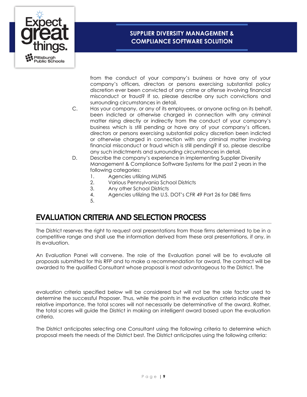

from the conduct of your company's business or have any of your company's officers, directors or persons exercising substantial policy discretion ever been convicted of any crime or offense involving financial misconduct or fraud? If so, please describe any such convictions and surrounding circumstances in detail.

- C. Has your company, or any of its employees, or anyone acting on its behalf, been indicted or otherwise charged in connection with any criminal matter rising directly or indirectly from the conduct of your company's business which is still pending or have any of your company's officers, directors or persons exercising substantial policy discretion been indicted or otherwise charged in connection with any criminal matter involving financial misconduct or fraud which is still pending? If so, please describe any such indictments and surrounding circumstances in detail.
- D. Describe the company's experience in implementing Supplier Diversity Management & Compliance Software Systems for the past 2 years in the following categories:
	- 1. Agencies utilizing MUNIS
	- 2. Various Pennsylvania School Districts
	- 3. Any other School Districts
	- 4. Agencies utilizing the U.S. DOT's CFR 49 Part 26 for DBE firms
	- 5.

## <span id="page-8-0"></span>EVALUATION CRITERIA AND SELECTION PROCESS

The District reserves the right to request oral presentations from those firms determined to be in a competitive range and shall use the information derived from these oral presentations, if any, in its evaluation.

An Evaluation Panel will convene. The role of the Evaluation panel will be to evaluate all proposals submitted for this RFP and to make a recommendation for award. The contract will be awarded to the qualified Consultant whose proposal is most advantageous to the District. The

evaluation criteria specified below will be considered but will not be the sole factor used to determine the successful Proposer. Thus, while the points in the evaluation criteria indicate their relative importance, the total scores will not necessarily be determinative of the award. Rather, the total scores will guide the District in making an intelligent award based upon the evaluation criteria.

The District anticipates selecting one Consultant using the following criteria to determine which proposal meets the needs of the District best. The District anticipates using the following criteria: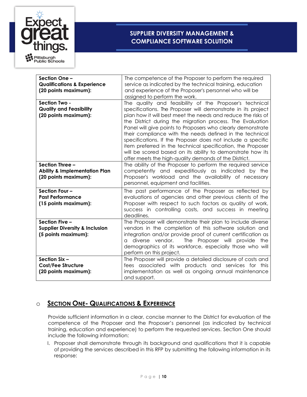

| Section One -<br><b>Qualifications &amp; Experience</b><br>(20 points maximum):     | The competence of the Proposer to perform the required<br>service as indicated by the technical training, education<br>and experience of the Proposer's personnel who will be<br>assigned to perform the work.                                                                                                                                                                                                                                                                                                                                                                                                                       |
|-------------------------------------------------------------------------------------|--------------------------------------------------------------------------------------------------------------------------------------------------------------------------------------------------------------------------------------------------------------------------------------------------------------------------------------------------------------------------------------------------------------------------------------------------------------------------------------------------------------------------------------------------------------------------------------------------------------------------------------|
| Section Two -<br><b>Quality and Feasibility</b><br>(20 points maximum):             | The quality and feasibility of the Proposer's technical<br>specifications. The Proposer will demonstrate in its project<br>plan how it will best meet the needs and reduce the risks of<br>the District during the migration process. The Evaluation<br>Panel will give points to Proposers who clearly demonstrate<br>their compliance with the needs defined in the technical<br>specifications. If the Proposer does not include a specific<br>item preferred in the technical specification, the Proposer<br>will be scored based on its ability to demonstrate how its<br>offer meets the high-quality demands of the District. |
| Section Three -<br><b>Ability &amp; Implementation Plan</b><br>(20 points maximum): | The ability of the Proposer to perform the required service<br>competently and expeditiously as indicated by the<br>Proposer's workload and the availability of necessary<br>personnel, equipment and facilities.                                                                                                                                                                                                                                                                                                                                                                                                                    |
| Section Four -<br><b>Past Performance</b><br>(15 points maximum):                   | The past performance of the Proposer as reflected by<br>evaluations of agencies and other previous clients of the<br>Proposer with respect to such factors as quality of work,<br>success in controlling costs, and success in meeting<br>deadlines.                                                                                                                                                                                                                                                                                                                                                                                 |
| Section Five -<br><b>Supplier Diversity &amp; Inclusion</b><br>(5 points maximum):  | The Proposer will demonstrate their plan to include diverse<br>vendors in the completion of this software solution and<br>integration and/or provide proof of current certification as<br>diverse vendor.<br>The Proposer will provide the<br>a<br>demographics of its workforce, especially those who will<br>perform on this project.                                                                                                                                                                                                                                                                                              |
| Section Six -<br><b>Cost/Fee Structure</b><br>(20 points maximum):                  | The Proposer will provide a detailed disclosure of costs and<br>fees associated with products and services for this<br>implementation as well as ongoing annual maintenance<br>and support.                                                                                                                                                                                                                                                                                                                                                                                                                                          |

### <span id="page-9-0"></span>o **SECTION ONE- QUALIFICATIONS & EXPERIENCE**

Provide sufficient information in a clear, concise manner to the District for evaluation of the competence of the Proposer and the Proposer's personnel (as indicated by technical training, education and experience) to perform the requested services. Section One should include the following information:

I. Proposer shall demonstrate through its background and qualifications that it is capable of providing the services described in this RFP by submitting the following information in its response: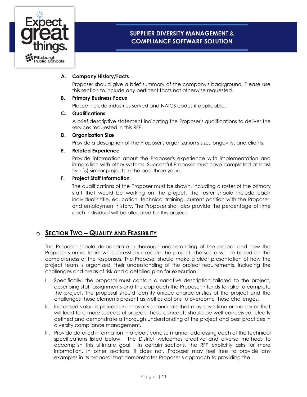

#### **A. Company History/Facts**

Proposer should give a brief summary of the company's background. Please use this section to include any pertinent facts not otherwise requested.

#### **B. Primary Business Focus**

Please include industries served and NAICS codes if applicable.

#### **C. Qualifications**

A brief descriptive statement indicating the Proposer's qualifications to deliver the services requested in this RFP.

#### **D. Organization Size**

Provide a description of the Proposer's organization's size, longevity, and clients.

#### **E. Related Experience**

Provide information about the Proposer's experience with implementation and integration with other systems. Successful Proposer must have completed at least five (5) similar projects in the past three years.

#### **F. Project Staff Information**

The qualifications of the Proposer must be shown, including a roster of the primary staff that would be working on the project. The roster should include each individual's title, education, technical training, current position with the Proposer, and employment history. The Proposer shall also provide the percentage of time each individual will be allocated for this project.

### <span id="page-10-0"></span>o **SECTION TWO – QUALITY AND FEASIBILITY**

The Proposer should demonstrate a thorough understanding of the project and how the Proposer's entire team will successfully execute the project. The score will be based on the completeness of the responses. The Proposer should make a clear presentation of how the project team is organized, their understanding of the project requirements, including the challenges and areas of risk and a detailed plan for execution.

- I. Specifically, the proposal must contain a narrative description tailored to the project, describing staff assignments and the approach the Proposer intends to take to complete the project. The proposal should identify unique characteristics of the project and the challenges those elements present as well as options to overcome those challenges.
- II. Increased value is placed on innovative concepts that may save time or money or that will lead to a more successful project. These concepts should be well conceived, clearly defined and demonstrate a thorough understanding of the project and best practices in diversity compliance management.
- III. Provide detailed information in a clear, concise manner addressing each of the technical specifications listed below. The District welcomes creative and diverse methods to accomplish this ultimate goal. In certain sections, the RFP explicitly asks for more information. In other sections, it does not. Proposer may feel free to provide any examples in its proposal that demonstrates Proposer's approach to providing the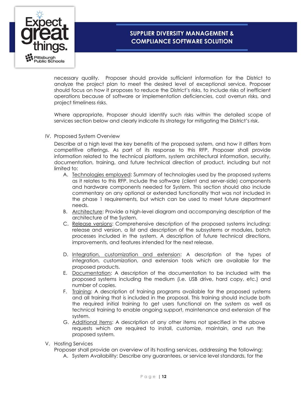

necessary quality. Proposer should provide sufficient information for the District to analyze the project plan to meet the desired level of exceptional service. Proposer should focus on how it proposes to reduce the District's risks, to include risks of inefficient operations because of software or implementation deficiencies, cost overrun risks, and project timeliness risks.

Where appropriate, Proposer should identify such risks within the detailed scope of services section below and clearly indicate its strategy for mitigating the District's risk.

IV. Proposed System Overview

Describe at a high level the key benefits of the proposed system, and how it differs from competitive offerings. As part of its response to this RFP, Proposer shall provide information related to the technical platform, system architectural information, security, documentation, training, and future technical direction of product, including but not limited to:

- A. Technologies employed: Summary of technologies used by the proposed systems as it relates to this RFP. Include the software (client and server-side) components and hardware components needed for System. This section should also include commentary on any optional or extended functionality that was not included in the phase 1 requirements, but which can be used to meet future department needs.
- B. Architecture: Provide a high-level diagram and accompanying description of the architecture of the System.
- C. Release versions: Comprehensive description of the proposed systems including: release and version, a list and description of the subsystems or modules, batch processes included in the system. A description of future technical directions, improvements, and features intended for the next release.
- D. Integration, customization and extension: A description of the types of integration, customization, and extension tools which are available for the proposed products.
- E. Documentation: A description of the documentation to be included with the proposed systems including the medium (i.e. USB drive, hard copy, etc.) and number of copies.
- F. **Training:** A description of training programs available for the proposed systems and all training that is included in the proposal. This training should include both the required initial training to get users functional on the system as well as technical training to enable ongoing support, maintenance and extension of the system.
- G. Additional items: A description of any other items not specified in the above requests which are required to install, customize, maintain, and run the proposed system.
- V. Hosting Services

Proposer shall provide an overview of its hosting services, addressing the following:

A. System Availability: Describe any guarantees, or service level standards, for the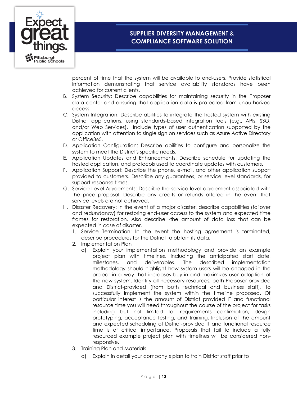

percent of time that the system will be available to end-users. Provide statistical information demonstrating that service availability standards have been achieved for current clients.

- B. System Security: Describe capabilities for maintaining security in the Proposer data center and ensuring that application data is protected from unauthorized access.
- C. System Integration: Describe abilities to integrate the hosted system with existing District applications, using standards-based integration tools (e.g., APls, SSO, and/or Web Services). Include types of user authentication supported by the application with attention to single sign on services such as Azure Active Directory or Office365.
- D. Application Configuration: Describe abilities to configure and personalize the system to meet the District's specific needs.
- E. Application Updates and Enhancements: Describe schedule for updating the hosted application, and protocols used to coordinate updates with customers.
- F. Application Support: Describe the phone, e-mail, and other application support provided to customers. Describe any guarantees, or service level standards, for support response times.
- G. Service Level Agreements: Describe the service level agreement associated with the price proposal. Describe any credits or refunds offered in the event that service levels are not achieved.
- H. Disaster Recovery: In the event of a major disaster, describe capabilities (failover and redundancy) for restoring end-user access to the system and expected time frames for restoration. Also describe -the amount of data loss that can be expected in case of disaster.
	- 1. Service Termination: In the event the hosting agreement is terminated, describe procedures for the District to obtain its data.
	- 2. Implementation Plan
		- a) Explain your implementation methodology and provide an example project plan with timelines, including the anticipated start date, milestones, and deliverables. The described implementation methodology should highlight how system users will be engaged in the project in a way that increases buy-in and maximizes user adoption of the new system. Identify all necessary resources, both Proposer-provided and District-provided (from both technical and business staff), to successfully implement the system within the timeline proposed. Of particular interest is the amount of District provided IT and functional resource time you will need throughout the course of the project for tasks including but not limited to: requirements confirmation, design prototyping, acceptance testing, and training. Inclusion of the amount and expected scheduling of District-provided IT and functional resource time is of critical importance. Proposals that fail to include a fully resourced example project plan with timelines will be considered nonresponsive.
	- 3. Training Plan and Materials
		- a) Explain in detail your company's plan to train District staff prior to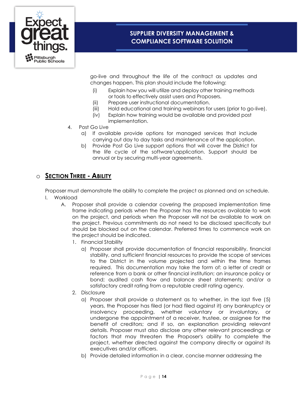

go-live and throughout the life of the contract as updates and changes happen. This plan should include the following:

- (i) Explain how you will utilize and deploy other training methods or tools to effectively assist users and Proposers.
- (ii) Prepare user instructional documentation.
- (iii) Hold educational and training webinars for users (prior to go-live).
- (iv) Explain how training would be available and provided post implementation.
- 4. Post Go Live
	- a) If available provide options for managed services that include carrying out day to day tasks and maintenance of the application.
	- b) Provide Post Go Live support options that will cover the District for the life cycle of the software\application. Support should be annual or by securing multi-year agreements.

### <span id="page-13-0"></span>o **SECTION THREE - ABILITY**

Proposer must demonstrate the ability to complete the project as planned and on schedule. I. Workload

- A. Proposer shall provide a calendar covering the proposed implementation time frame indicating periods when the Proposer has the resources available to work on the project, and periods when the Proposer will not be available to work on the project. Previous commitments do not need to be disclosed specifically but should be blocked out on the calendar. Preferred times to commence work on the project should be indicated.
	- 1. Financial Stability
		- a) Proposer shall provide documentation of financial responsibility, financial stability, and sufficient financial resources to provide the scope of services to the District in the volume projected and within the time frames required. This documentation may take the form of: a letter of credit or reference from a bank or other financial institution; an insurance policy or bond; audited cash flow and balance sheet statements; and/or a satisfactory credit rating from a reputable credit rating agency.
	- 2. Disclosure
		- a) Proposer shall provide a statement as to whether, in the last five (5) years, the Proposer has filed (or had filed against it) any bankruptcy or insolvency proceeding, whether voluntary or involuntary, or undergone the appointment of a receiver, trustee, or assignee for the benefit of creditors; and if so, an explanation providing relevant details. Proposer must also disclose any other relevant proceedings or factors that may threaten the Proposer's ability to complete the project, whether directed against the company directly or against its executives and/or officers.
		- b) Provide detailed information in a clear, concise manner addressing the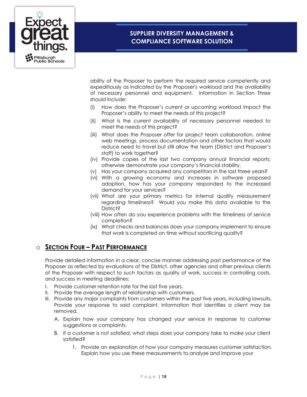

ability of the Proposer to perform the required service competently and expeditiously as indicated by the Proposer's workload and the availability of necessary personnel and equipment. Information in Section Three should include:

- (i) How does the Proposer's current or upcoming workload impact the Proposer's ability to meet the needs of this project?
- (ii) What is the current availability of necessary personnel needed to meet the needs of this project?
- (iii) What does the Proposer offer for project team collaboration, online web meetings, process documentation and other factors that would reduce need to travel but still allow the team (District and Proposer's staff) to work together?
- (iv) Provide copies of the last two company annual financial reports; otherwise demonstrate your company's financial stability.
- (v) Has your company acquired any competitors in the last three years?
- (vi) With a growing economy and increases in software proposed adoption, how has your company responded to the increased demand for your services?
- (vii) What are your primary metrics for internal quality measurement regarding timeliness? Would you make this data available to the District?
- (viii) How often do you experience problems with the timeliness of service completion?
- (ix) What checks and balances does your company implement to ensure that work is completed on time without sacrificing quality?

### <span id="page-14-0"></span>o **SECTION FOUR – PAST PERFORMANCE**

Provide detailed information in a clear, concise manner addressing past performance of the Proposer as reflected by evaluations of the District, other agencies and other previous clients of the Proposer with respect to such factors as quality of work, success in controlling costs, and success in meeting deadlines:

- I. Provide customer retention rate for the last five years.
- II. Provide the average length of relationship with customers.
- III. Provide any major complaints from customers within the past five years, including lawsuits. Provide your response to said complaint. Information that identifies a client may be removed.
	- A. Explain how your company has changed your service in response to customer suggestions or complaints.
	- B. If a customer is not satisfied, what steps does your company take to make your client satisfied?
		- 1. Provide an explanation of how your company measures customer satisfaction. Explain how you use these measurements to analyze and improve your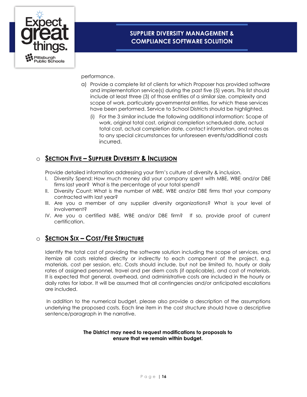

performance.

- a) Provide a complete list of clients for which Proposer has provided software and implementation service(s) during the past five (5) years. This list should include at least three (3) of those entities of a similar size, complexity and scope of work, particularly governmental entities, for which these services have been performed. Service to School Districts should be highlighted.
	- (i) For the 3 similar include the following additional information: Scope of work, original total cost, original completion scheduled date, actual total cost, actual completion date, contact information, and notes as to any special circumstances for unforeseen events/additional costs incurred.

### <span id="page-15-0"></span>o **SECTION FIVE – SUPPLIER DIVERSITY & INCLUSION**

Provide detailed information addressing your firm's culture of diversity & inclusion.

- I. Diversity Spend: How much money did your company spent with MBE, WBE and/or DBE firms last year? What is the percentage of your total spend?
- II. Diversity Count: What is the number of MBE, WBE and/or DBE firms that your company contracted with last year?
- III. Are you a member of any supplier diversity organizations? What is your level of involvement?
- IV. Are you a certified MBE, WBE and/or DBE firm? If so, provide proof of current certification.

### <span id="page-15-1"></span>o **SECTION SIX – COST/FEE STRUCTURE**

Identify the total cost of providing the software solution including the scope of services, and itemize all costs related directly or indirectly to each component of the project, e.g. materials, cost per session, etc. Costs should include, but not be limited to, hourly or daily rates of assigned personnel, travel and per diem costs (if applicable), and cost of materials. It is expected that general, overhead, and administrative costs are included in the hourly or daily rates for labor. It will be assumed that all contingencies and/or anticipated escalations are included.

In addition to the numerical budget, please also provide a description of the assumptions underlying the proposed costs. Each line item in the cost structure should have a descriptive sentence/paragraph in the narrative.

#### **The District may need to request modifications to proposals to ensure that we remain within budget.**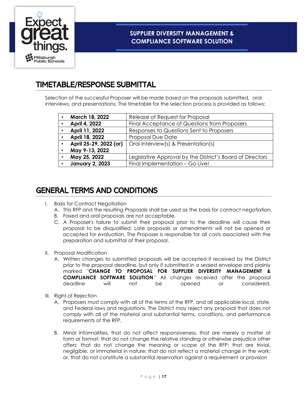

## <span id="page-16-0"></span>TIMETABLE/RESPONSE SUBMITTAL

Selection of the successful Proposer will be made based on the proposals submitted, oral interviews, and presentations. The timetable for the selection process is provided as follows:

| March 18, 2022         | Release of Request for Proposal                           |
|------------------------|-----------------------------------------------------------|
| April 4, 2022          | Final Acceptance of Questions from Proposers              |
| April 11, 2022         | Responses to Questions Sent to Proposers                  |
| April 18, 2022         | Proposal Due Date                                         |
| April 25-29, 2022 (or) | Oral Interview(s) & Presentation(s)                       |
| May 9-13, 2022         |                                                           |
| May 25, 2022           | Legislative Approval by the District's Board of Directors |
| <b>January 2, 2023</b> | Final Implementation - Go Live!                           |

# <span id="page-16-1"></span>GENERAL TERMS AND CONDITIONS

- I. Basis for Contract Negotiation
	- A. This RFP and the resulting Proposals shall be used as the basis for contract negotiation.
	- B. Faxed and oral proposals are not acceptable.
	- C. A Proposer's failure to submit their proposal prior to the deadline will cause their proposal to be disqualified. Late proposals or amendments will not be opened or accepted for evaluation. The Proposer is responsible for all costs associated with the preparation and submittal of their proposal.
- II. Proposal Modification
	- A. Written changes to submitted proposals will be accepted if received by the District prior to the proposal deadline, but only if submitted in a sealed envelope and plainly marked "**CHANGE TO PROPOSAL FOR SUPPLIER DIVERSITY MANAGEMENT & COMPLIANCE SOFTWARE SOLUTION**." All changes received after the proposal deadline will not be opened or considered.
- III. Right of Rejection
	- A. Proposers must comply with all of the terms of the RFP, and all applicable local, state, and Federal laws and regulations. The District may reject any proposal that does not comply with all of the material and substantial terms, conditions, and performance requirements of the RFP.
	- B. Minor informalities, that do not affect responsiveness, that are merely a matter of form or format; that do not change the relative standing or otherwise prejudice other offers; that do not change the meaning or scope of the RFP; that are trivial, negligible, or immaterial in nature; that do not reflect a material change in the work; or, that do not constitute a substantial reservation against a requirement or provision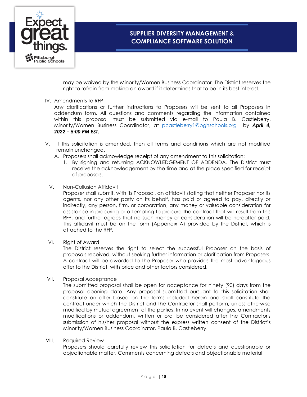

may be waived by the Minority/Women Business Coordinator. The District reserves the right to refrain from making an award if it determines that to be in its best interest.

#### IV. Amendments to RFP

Any clarifications or further instructions to Proposers will be sent to all Proposers in addendum form. All questions and comments regarding the information contained within this proposal must be submitted via e-mail to Paula B. Castleberry, Minority/Women Business Coordinator, at [pcastleberry1@pghschools.org](mailto:pcastleberry1@pghschools.org) by *April 4, 2022 – 5:00 PM EST***.** 

- V. If this solicitation is amended, then all terms and conditions which are not modified remain unchanged.
	- A. Proposers shall acknowledge receipt of any amendment to this solicitation:
		- 1. By signing and returning ACKNOWLEDGEMENT OF ADDENDA. The District must receive the acknowledgement by the time and at the place specified for receipt of proposals.
	- V. Non-Collusion Affidavit

Proposer shall submit, with its Proposal, an affidavit stating that neither Proposer nor its agents, nor any other party on its behalf, has paid or agreed to pay, directly or indirectly, any person, firm, or corporation, any money or valuable consideration for assistance in procuring or attempting to procure the contract that will result from this RFP, and further agrees that no such money or consideration will be hereafter paid. This affidavit must be on the form (Appendix A) provided by the District, which is attached to the RFP.

VI. Right of Award

The District reserves the right to select the successful Proposer on the basis of proposals received, without seeking further information or clarification from Proposers. A contract will be awarded to the Proposer who provides the most advantageous offer to the District, with price and other factors considered.

VII. Proposal Acceptance

The submitted proposal shall be open for acceptance for ninety (90) days from the proposal opening date. Any proposal submitted pursuant to this solicitation shall constitute an offer based on the terms included herein and shall constitute the contract under which the District and the Contractor shall perform, unless otherwise modified by mutual agreement of the parties. In no event will changes, amendments, modifications or addendum, written or oral be considered after the Contractor's submission of his/her proposal without the express written consent of the District's Minority/Women Business Coordinator, Paula B. Castleberry.

#### VIII. Required Review

Proposers should carefully review this solicitation for defects and questionable or objectionable matter. Comments concerning defects and objectionable material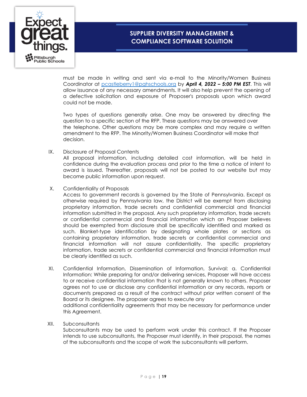

must be made in writing and sent via e-mail to the Minority/Women Business Coordinator at [pcastleberry1@pghschools.org](mailto:pcastleberry1@pghschools.org) by *April 4, 2022 – 5:00 PM EST*. This will allow issuance of any necessary amendments. It will also help prevent the opening of a defective solicitation and exposure of Proposer's proposals upon which award could not be made.

Two types of questions generally arise. One may be answered by directing the question to a specific section of the RFP. These questions may be answered over the telephone. Other questions may be more complex and may require a written amendment to the RFP. The Minority/Women Business Coordinator will make that decision.

IX. Disclosure of Proposal Contents

All proposal information, including detailed cost information, will be held in confidence during the evaluation process and prior to the time a notice of intent to award is issued. Thereafter, proposals will not be posted to our website but may become public information upon request.

X. Confidentiality of Proposals

Access to government records is governed by the State of Pennsylvania. Except as otherwise required by Pennsylvania law, the District will be exempt from disclosing proprietary information, trade secrets and confidential commercial and financial information submitted in the proposal. Any such proprietary information, trade secrets or confidential commercial and financial information which an Proposer believes should be exempted from disclosure shall be specifically identified and marked as such. Blanket-type identification by designating whole plates or sections as containing proprietary information, trade secrets or confidential commercial and financial information will not assure confidentiality. The specific proprietary information, trade secrets or confidential commercial and financial information must be clearly identified as such.

- XI. Confidential Information, Dissemination of Information, Survival: a. Confidential Information: While preparing for and/or delivering services, Proposer will have access to or receive confidential information that is not generally known to others. Proposer agrees not to use or disclose any confidential information or any records, reports or documents prepared as a result of the contract without prior written consent of the Board or its designee. The proposer agrees to execute any additional confidentiality agreements that may be necessary for performance under this Agreement.
- XII. Subconsultants

Subconsultants may be used to perform work under this contract. If the Proposer intends to use subconsultants, the Proposer must identify, in their proposal, the names of the subconsultants and the scope of work the subconsultants will perform.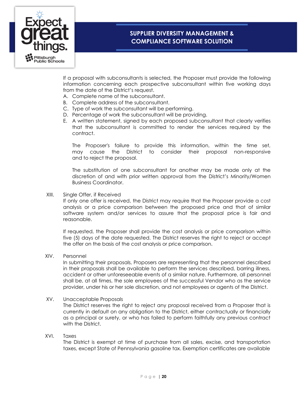

If a proposal with subconsultants is selected, the Proposer must provide the following information concerning each prospective subconsultant within five working days from the date of the District's request.

- A. Complete name of the subconsultant.
- B. Complete address of the subconsultant.
- C. Type of work the subconsultant will be performing.
- D. Percentage of work the subconsultant will be providing.
- E. A written statement, signed by each proposed subconsultant that clearly verifies that the subconsultant is committed to render the services required by the contract.

The Proposer's failure to provide this information, within the time set, may cause the District to consider their proposal non-responsive and to reject the proposal.

The substitution of one subconsultant for another may be made only at the discretion of and with prior written approval from the District's Minority/Women Business Coordinator.

XIII. Single Offer, if Received

If only one offer is received, the District may require that the Proposer provide a cost analysis or a price comparison between the proposed price and that of similar software system and/or services to assure that the proposal price is fair and reasonable.

If requested, the Proposer shall provide the cost analysis or price comparison within five (5) days of the date requested. The District reserves the right to reject or accept the offer on the basis of the cost analysis or price comparison.

XIV. Personnel

In submitting their proposals, Proposers are representing that the personnel described in their proposals shall be available to perform the services described, barring illness, accident or other unforeseeable events of a similar nature. Furthermore, all personnel shall be, at all times, the sole employees of the successful Vendor who as the service provider, under his or her sole discretion, and not employees or agents of the District.

#### XV. Unacceptable Proposals

The District reserves the right to reject any proposal received from a Proposer that is currently in default on any obligation to the District, either contractually or financially as a principal or surety, or who has failed to perform faithfully any previous contract with the District.

#### XVI. Taxes

The District is exempt at time of purchase from all sales, excise, and transportation taxes, except State of Pennsylvania gasoline tax. Exemption certificates are available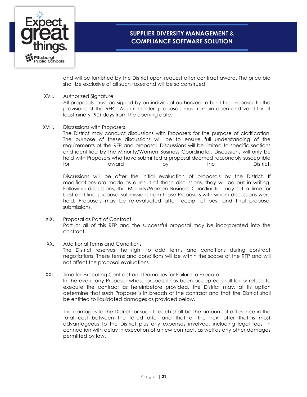

and will be furnished by the District upon request after contract award. The price bid shall be exclusive of all such taxes and will be so construed.

#### XVII. Authorized Signature

All proposals must be signed by an individual authorized to bind the proposer to the provisions of the RFP. As a reminder, proposals must remain open and valid for at least ninety (90) days from the opening date.

XVIII. Discussions with Proposers

The District may conduct discussions with Proposers for the purpose of clarification. The purpose of these discussions will be to ensure full understanding of the requirements of the RFP and proposal. Discussions will be limited to specific sections and identified by the Minority/Women Business Coordinator. Discussions will only be held with Proposers who have submitted a proposal deemed reasonably susceptible for award by the District.

Discussions will be after the initial evaluation of proposals by the District. If modifications are made as a result of these discussions, they will be put in writing. Following discussions, the Minority/Women Business Coordinator may set a time for best and final proposal submissions from those Proposers with whom discussions were held. Proposals may be re-evaluated after receipt of best and final proposal submissions.

- XIX. Proposal as Part of Contract Part or all of this RFP and the successful proposal may be incorporated into the contract.
- XX. Additional Terms and Conditions The District reserves the right to add terms and conditions during contract negotiations. These terms and conditions will be within the scope of the RFP and will not affect the proposal evaluations.
- XXI. Time for Executing Contract and Damages for Failure to Execute

In the event any Proposer whose proposal has been accepted shall fail or refuse to execute the contract as hereinbefore provided, the District may, at its option determine that such Proposer is in breach of the contract and that the District shall be entitled to liquidated damages as provided below.

The damages to the District for such breach shall be the amount of difference in the total cost between the failed offer and that of the next offer that is most advantageous to the District plus any expenses involved, including legal fees, in connection with delay in execution of a new contract, as well as any other damages permitted by law.